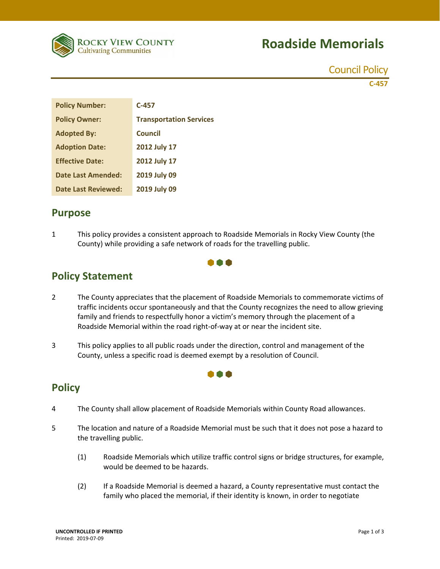

# **Roadside Memorials**

Council Policy

**C‐457** 

| <b>Policy Number:</b>  | $C-457$                        |
|------------------------|--------------------------------|
| <b>Policy Owner:</b>   | <b>Transportation Services</b> |
| <b>Adopted By:</b>     | Council                        |
| <b>Adoption Date:</b>  | 2012 July 17                   |
| <b>Effective Date:</b> | 2012 July 17                   |
| Date Last Amended:     | 2019 July 09                   |
| Date Last Reviewed:    | 2019 July 09                   |

#### **Purpose**

1 This policy provides a consistent approach to Roadside Memorials in Rocky View County (the County) while providing a safe network of roads for the travelling public.



## **Policy Statement**

- 2 The County appreciates that the placement of Roadside Memorials to commemorate victims of traffic incidents occur spontaneously and that the County recognizes the need to allow grieving family and friends to respectfully honor a victim's memory through the placement of a Roadside Memorial within the road right‐of‐way at or near the incident site.
- 3 This policy applies to all public roads under the direction, control and management of the County, unless a specific road is deemed exempt by a resolution of Council.

### **Policy**

- 4 The County shall allow placement of Roadside Memorials within County Road allowances.
- 5 The location and nature of a Roadside Memorial must be such that it does not pose a hazard to the travelling public.

000

- (1) Roadside Memorials which utilize traffic control signs or bridge structures, for example, would be deemed to be hazards.
- (2) If a Roadside Memorial is deemed a hazard, a County representative must contact the family who placed the memorial, if their identity is known, in order to negotiate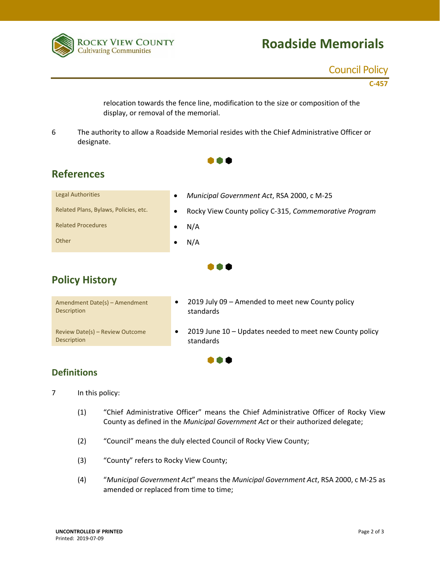

### Council Policy

**C‐457** 

relocation towards the fence line, modification to the size or composition of the display, or removal of the memorial.

6 The authority to allow a Roadside Memorial resides with the Chief Administrative Officer or designate.

 $\bullet \bullet \bullet$ 

| .                                     |                                                                    |
|---------------------------------------|--------------------------------------------------------------------|
| <b>Legal Authorities</b>              | Municipal Government Act, RSA 2000, c M-25<br>$\bullet$            |
| Related Plans, Bylaws, Policies, etc. | Rocky View County policy C-315, Commemorative Program<br>$\bullet$ |
| <b>Related Procedures</b>             | N/A<br>٠                                                           |
| Other                                 | N/A<br>٠                                                           |
| <br><b>Policy History</b>             |                                                                    |
|                                       |                                                                    |

| Amendment Date(s) - Amendment   | 2019 July 09 - Amended to meet new County policy        |
|---------------------------------|---------------------------------------------------------|
| Description                     | standards                                               |
| Review Date(s) - Review Outcome | 2019 June 10 - Updates needed to meet new County policy |
| Description                     | standards                                               |

 $\bullet \bullet \bullet$ 

#### **Definitions**

7 In this policy:

- (1) "Chief Administrative Officer" means the Chief Administrative Officer of Rocky View County as defined in the *Municipal Government Act* or their authorized delegate;
- (2) "Council" means the duly elected Council of Rocky View County;
- (3) "County" refers to Rocky View County;
- (4) "*Municipal Government Act*" means the *Municipal Government Act*, RSA 2000, c M‐25 as amended or replaced from time to time;

**References**